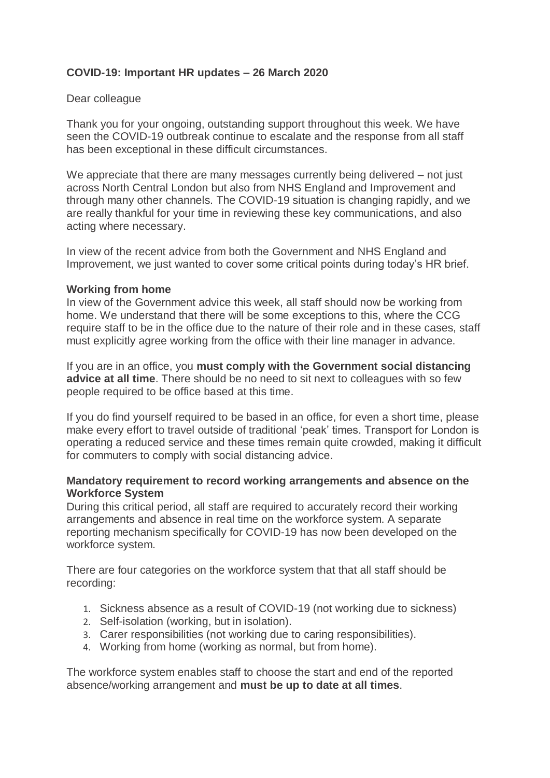# **COVID-19: Important HR updates – 26 March 2020**

## Dear colleague

Thank you for your ongoing, outstanding support throughout this week. We have seen the COVID-19 outbreak continue to escalate and the response from all staff has been exceptional in these difficult circumstances.

We appreciate that there are many messages currently being delivered – not just across North Central London but also from NHS England and Improvement and through many other channels. The COVID-19 situation is changing rapidly, and we are really thankful for your time in reviewing these key communications, and also acting where necessary.

In view of the recent advice from both the Government and NHS England and Improvement, we just wanted to cover some critical points during today's HR brief.

## **Working from home**

In view of the Government advice this week, all staff should now be working from home. We understand that there will be some exceptions to this, where the CCG require staff to be in the office due to the nature of their role and in these cases, staff must explicitly agree working from the office with their line manager in advance.

If you are in an office, you **must comply with the Government social distancing advice at all time**. There should be no need to sit next to colleagues with so few people required to be office based at this time.

If you do find yourself required to be based in an office, for even a short time, please make every effort to travel outside of traditional 'peak' times. Transport for London is operating a reduced service and these times remain quite crowded, making it difficult for commuters to comply with social distancing advice.

## **Mandatory requirement to record working arrangements and absence on the Workforce System**

During this critical period, all staff are required to accurately record their working arrangements and absence in real time on the workforce system. A separate reporting mechanism specifically for COVID-19 has now been developed on the workforce system.

There are four categories on the workforce system that that all staff should be recording:

- 1. Sickness absence as a result of COVID-19 (not working due to sickness)
- 2. Self-isolation (working, but in isolation).
- 3. Carer responsibilities (not working due to caring responsibilities).
- 4. Working from home (working as normal, but from home).

The workforce system enables staff to choose the start and end of the reported absence/working arrangement and **must be up to date at all times**.